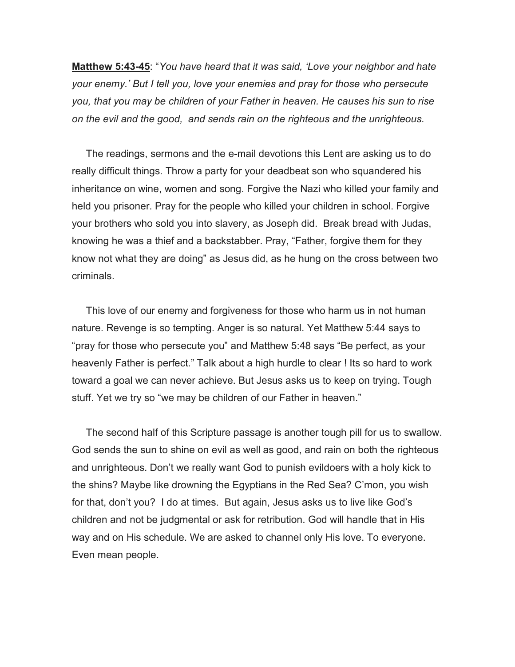**Matthew 5:43-45**: "*You have heard that it was said, 'Love your neighbor and hate your enemy.' But I tell you, love your enemies and pray for those who persecute you, that you may be children of your Father in heaven. He causes his sun to rise on the evil and the good, and sends rain on the righteous and the unrighteous.*

 The readings, sermons and the e-mail devotions this Lent are asking us to do really difficult things. Throw a party for your deadbeat son who squandered his inheritance on wine, women and song. Forgive the Nazi who killed your family and held you prisoner. Pray for the people who killed your children in school. Forgive your brothers who sold you into slavery, as Joseph did. Break bread with Judas, knowing he was a thief and a backstabber. Pray, "Father, forgive them for they know not what they are doing" as Jesus did, as he hung on the cross between two criminals.

 This love of our enemy and forgiveness for those who harm us in not human nature. Revenge is so tempting. Anger is so natural. Yet Matthew 5:44 says to "pray for those who persecute you" and Matthew 5:48 says "Be perfect, as your heavenly Father is perfect." Talk about a high hurdle to clear ! Its so hard to work toward a goal we can never achieve. But Jesus asks us to keep on trying. Tough stuff. Yet we try so "we may be children of our Father in heaven."

 The second half of this Scripture passage is another tough pill for us to swallow. God sends the sun to shine on evil as well as good, and rain on both the righteous and unrighteous. Don't we really want God to punish evildoers with a holy kick to the shins? Maybe like drowning the Egyptians in the Red Sea? C'mon, you wish for that, don't you? I do at times. But again, Jesus asks us to live like God's children and not be judgmental or ask for retribution. God will handle that in His way and on His schedule. We are asked to channel only His love. To everyone. Even mean people.